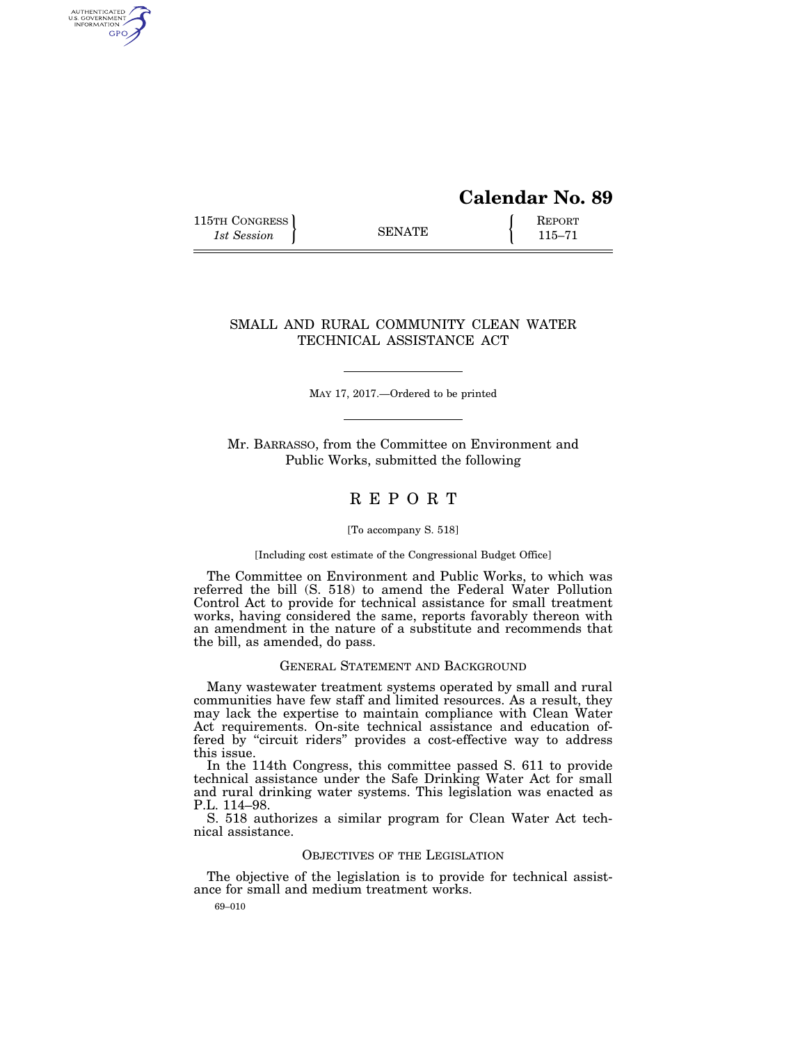# **Calendar No. 89**

115TH CONGRESS **REPORT** 115-71

AUTHENTICATED<br>U.S. GOVERNMENT<br>INFORMATION GPO

# SMALL AND RURAL COMMUNITY CLEAN WATER TECHNICAL ASSISTANCE ACT

MAY 17, 2017.—Ordered to be printed

Mr. BARRASSO, from the Committee on Environment and Public Works, submitted the following

# R E P O R T

## [To accompany S. 518]

#### [Including cost estimate of the Congressional Budget Office]

The Committee on Environment and Public Works, to which was referred the bill (S. 518) to amend the Federal Water Pollution Control Act to provide for technical assistance for small treatment works, having considered the same, reports favorably thereon with an amendment in the nature of a substitute and recommends that the bill, as amended, do pass.

## GENERAL STATEMENT AND BACKGROUND

Many wastewater treatment systems operated by small and rural communities have few staff and limited resources. As a result, they may lack the expertise to maintain compliance with Clean Water Act requirements. On-site technical assistance and education offered by "circuit riders" provides a cost-effective way to address this issue.

In the 114th Congress, this committee passed S. 611 to provide technical assistance under the Safe Drinking Water Act for small and rural drinking water systems. This legislation was enacted as P.L. 114–98.

S. 518 authorizes a similar program for Clean Water Act technical assistance.

## OBJECTIVES OF THE LEGISLATION

The objective of the legislation is to provide for technical assistance for small and medium treatment works.

69–010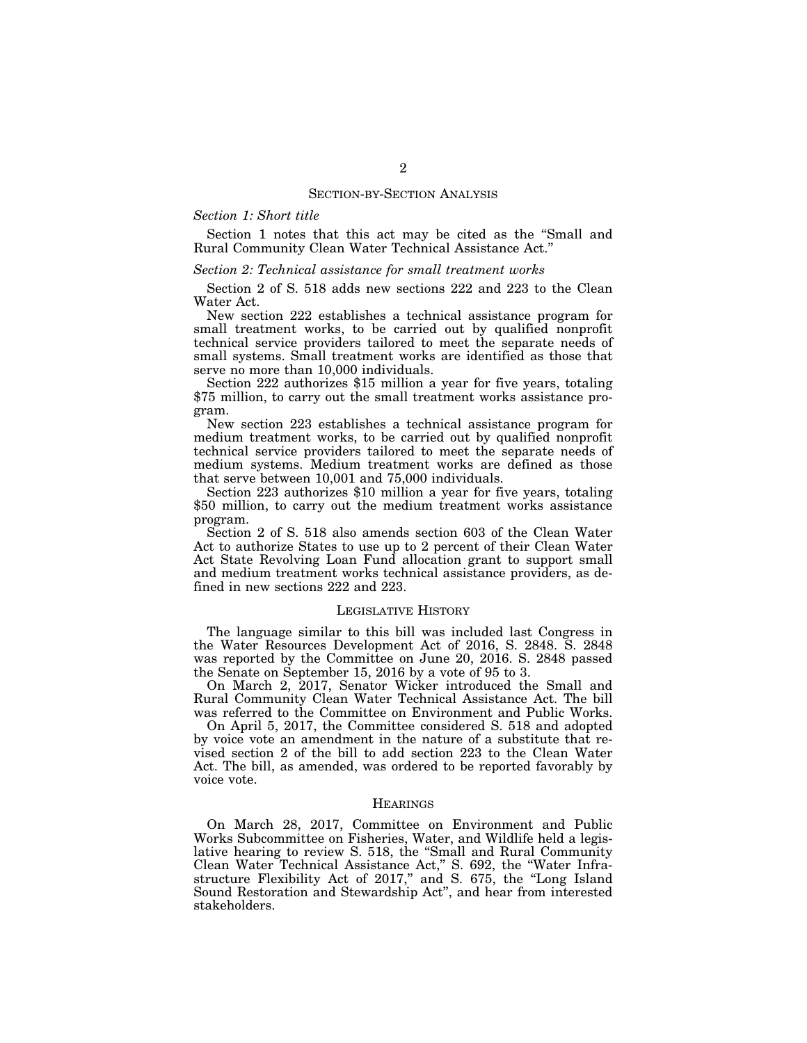## SECTION-BY-SECTION ANALYSIS

## *Section 1: Short title*

Section 1 notes that this act may be cited as the ''Small and Rural Community Clean Water Technical Assistance Act.''

## *Section 2: Technical assistance for small treatment works*

Section 2 of S. 518 adds new sections 222 and 223 to the Clean Water Act.

New section 222 establishes a technical assistance program for small treatment works, to be carried out by qualified nonprofit technical service providers tailored to meet the separate needs of small systems. Small treatment works are identified as those that serve no more than 10,000 individuals.

Section 222 authorizes \$15 million a year for five years, totaling \$75 million, to carry out the small treatment works assistance program.

New section 223 establishes a technical assistance program for medium treatment works, to be carried out by qualified nonprofit technical service providers tailored to meet the separate needs of medium systems. Medium treatment works are defined as those that serve between 10,001 and 75,000 individuals.

Section 223 authorizes \$10 million a year for five years, totaling \$50 million, to carry out the medium treatment works assistance program.

Section 2 of S. 518 also amends section 603 of the Clean Water Act to authorize States to use up to 2 percent of their Clean Water Act State Revolving Loan Fund allocation grant to support small and medium treatment works technical assistance providers, as defined in new sections 222 and 223.

#### LEGISLATIVE HISTORY

The language similar to this bill was included last Congress in the Water Resources Development Act of 2016, S. 2848. S. 2848 was reported by the Committee on June 20, 2016. S. 2848 passed the Senate on September 15, 2016 by a vote of 95 to 3.

On March 2, 2017, Senator Wicker introduced the Small and Rural Community Clean Water Technical Assistance Act. The bill was referred to the Committee on Environment and Public Works.

On April 5, 2017, the Committee considered S. 518 and adopted by voice vote an amendment in the nature of a substitute that revised section 2 of the bill to add section 223 to the Clean Water Act. The bill, as amended, was ordered to be reported favorably by voice vote.

## **HEARINGS**

On March 28, 2017, Committee on Environment and Public Works Subcommittee on Fisheries, Water, and Wildlife held a legislative hearing to review S. 518, the ''Small and Rural Community Clean Water Technical Assistance Act,'' S. 692, the ''Water Infrastructure Flexibility Act of 2017," and S. 675, the "Long Island" Sound Restoration and Stewardship Act'', and hear from interested stakeholders.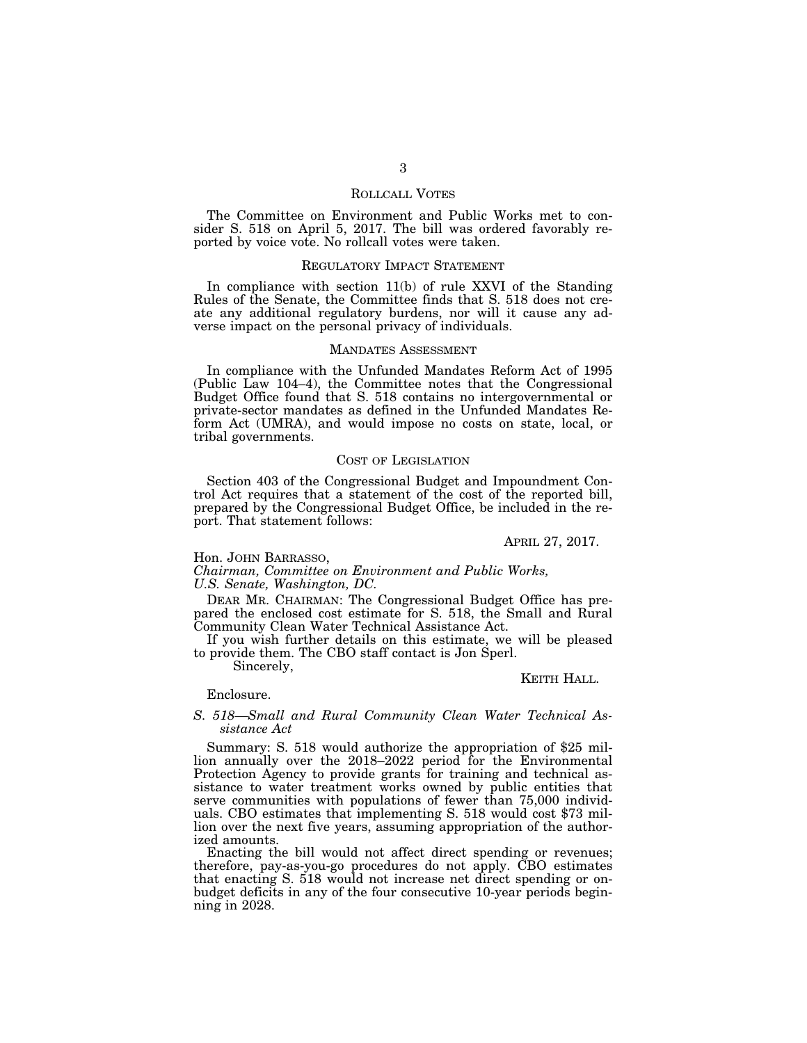## ROLLCALL VOTES

The Committee on Environment and Public Works met to consider S. 518 on April 5, 2017. The bill was ordered favorably reported by voice vote. No rollcall votes were taken.

#### REGULATORY IMPACT STATEMENT

In compliance with section 11(b) of rule XXVI of the Standing Rules of the Senate, the Committee finds that S. 518 does not create any additional regulatory burdens, nor will it cause any adverse impact on the personal privacy of individuals.

#### MANDATES ASSESSMENT

In compliance with the Unfunded Mandates Reform Act of 1995 (Public Law 104–4), the Committee notes that the Congressional Budget Office found that S. 518 contains no intergovernmental or private-sector mandates as defined in the Unfunded Mandates Reform Act (UMRA), and would impose no costs on state, local, or tribal governments.

#### COST OF LEGISLATION

Section 403 of the Congressional Budget and Impoundment Control Act requires that a statement of the cost of the reported bill, prepared by the Congressional Budget Office, be included in the report. That statement follows:

APRIL 27, 2017.

## Hon. JOHN BARRASSO,

*Chairman, Committee on Environment and Public Works, U.S. Senate, Washington, DC.* 

DEAR MR. CHAIRMAN: The Congressional Budget Office has prepared the enclosed cost estimate for S. 518, the Small and Rural Community Clean Water Technical Assistance Act.

If you wish further details on this estimate, we will be pleased to provide them. The CBO staff contact is Jon Sperl.

Sincerely,

## KEITH HALL.

## Enclosure.

## *S. 518—Small and Rural Community Clean Water Technical Assistance Act*

Summary: S. 518 would authorize the appropriation of \$25 million annually over the 2018–2022 period for the Environmental Protection Agency to provide grants for training and technical assistance to water treatment works owned by public entities that serve communities with populations of fewer than 75,000 individuals. CBO estimates that implementing S. 518 would cost \$73 million over the next five years, assuming appropriation of the authorized amounts.

Enacting the bill would not affect direct spending or revenues; therefore, pay-as-you-go procedures do not apply. CBO estimates that enacting S. 518 would not increase net direct spending or onbudget deficits in any of the four consecutive 10-year periods beginning in 2028.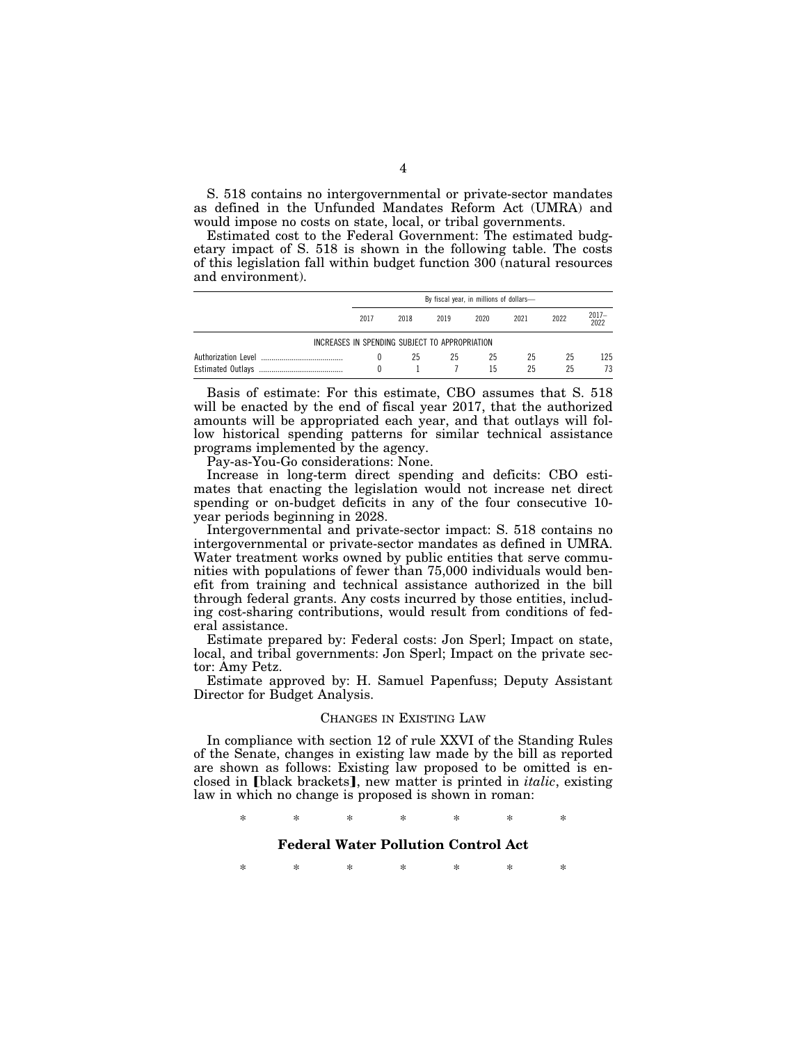S. 518 contains no intergovernmental or private-sector mandates as defined in the Unfunded Mandates Reform Act (UMRA) and would impose no costs on state, local, or tribal governments.

Estimated cost to the Federal Government: The estimated budgetary impact of S. 518 is shown in the following table. The costs of this legislation fall within budget function 300 (natural resources and environment).

|                                                | By fiscal year, in millions of dollars- |      |      |          |          |          |               |
|------------------------------------------------|-----------------------------------------|------|------|----------|----------|----------|---------------|
|                                                | 2017                                    | 2018 | 2019 | 2020     | 2021     | 2022     | 2017-<br>2022 |
| INCREASES IN SPENDING SUBJECT TO APPROPRIATION |                                         |      |      |          |          |          |               |
|                                                |                                         | 25   | 25   | 25<br>15 | 25<br>25 | 25<br>25 | 125<br>73     |

Basis of estimate: For this estimate, CBO assumes that S. 518 will be enacted by the end of fiscal year 2017, that the authorized amounts will be appropriated each year, and that outlays will follow historical spending patterns for similar technical assistance programs implemented by the agency.

Pay-as-You-Go considerations: None.

Increase in long-term direct spending and deficits: CBO estimates that enacting the legislation would not increase net direct spending or on-budget deficits in any of the four consecutive 10 year periods beginning in 2028.

Intergovernmental and private-sector impact: S. 518 contains no intergovernmental or private-sector mandates as defined in UMRA. Water treatment works owned by public entities that serve communities with populations of fewer than 75,000 individuals would benefit from training and technical assistance authorized in the bill through federal grants. Any costs incurred by those entities, including cost-sharing contributions, would result from conditions of federal assistance.

Estimate prepared by: Federal costs: Jon Sperl; Impact on state, local, and tribal governments: Jon Sperl; Impact on the private sector: Amy Petz.

Estimate approved by: H. Samuel Papenfuss; Deputy Assistant Director for Budget Analysis.

#### CHANGES IN EXISTING LAW

In compliance with section 12 of rule XXVI of the Standing Rules of the Senate, changes in existing law made by the bill as reported are shown as follows: Existing law proposed to be omitted is enclosed in [black brackets], new matter is printed in *italic*, existing law in which no change is proposed is shown in roman:

\* \* \* \* \* \* \*

## **Federal Water Pollution Control Act**

\* \* \* \* \* \* \*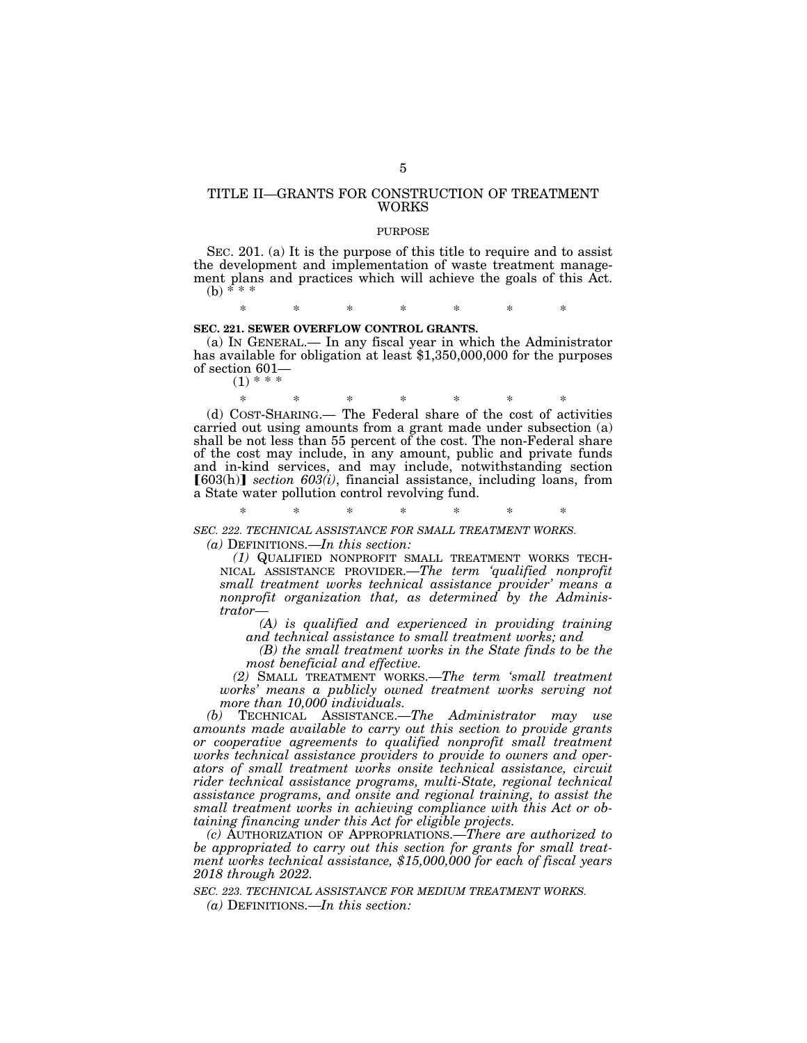## TITLE II—GRANTS FOR CONSTRUCTION OF TREATMENT WORKS

### PURPOSE

SEC. 201. (a) It is the purpose of this title to require and to assist the development and implementation of waste treatment management plans and practices which will achieve the goals of this Act.  $(b) * * *$ 

\* \* \* \* \* \* \*

#### **SEC. 221. SEWER OVERFLOW CONTROL GRANTS.**

(a) IN GENERAL.— In any fiscal year in which the Administrator has available for obligation at least \$1,350,000,000 for the purposes of section 601—

 $(1)$  \*

\* \* \* \* \* \* \* (d) COST-SHARING.— The Federal share of the cost of activities carried out using amounts from a grant made under subsection (a) shall be not less than 55 percent of the cost. The non-Federal share of the cost may include, in any amount, public and private funds and in-kind services, and may include, notwithstanding section  $[603(h)]$  *section 603(i)*, financial assistance, including loans, from a State water pollution control revolving fund.

\* \* \* \* \* \* \* *SEC. 222. TECHNICAL ASSISTANCE FOR SMALL TREATMENT WORKS.* 

*(a)* DEFINITIONS.—*In this section:* 

*(1)* QUALIFIED NONPROFIT SMALL TREATMENT WORKS TECH-NICAL ASSISTANCE PROVIDER.—*The term 'qualified nonprofit small treatment works technical assistance provider' means a nonprofit organization that, as determined by the Administrator—* 

*(A) is qualified and experienced in providing training and technical assistance to small treatment works; and* 

*(B) the small treatment works in the State finds to be the most beneficial and effective.* 

*(2)* SMALL TREATMENT WORKS.—*The term 'small treatment works' means a publicly owned treatment works serving not more than 10,000 individuals.* 

*(b)* TECHNICAL ASSISTANCE.—*The Administrator may use amounts made available to carry out this section to provide grants or cooperative agreements to qualified nonprofit small treatment works technical assistance providers to provide to owners and operators of small treatment works onsite technical assistance, circuit rider technical assistance programs, multi-State, regional technical assistance programs, and onsite and regional training, to assist the small treatment works in achieving compliance with this Act or obtaining financing under this Act for eligible projects.* 

*(c)* AUTHORIZATION OF APPROPRIATIONS.—*There are authorized to be appropriated to carry out this section for grants for small treatment works technical assistance, \$15,000,000 for each of fiscal years 2018 through 2022.* 

*SEC. 223. TECHNICAL ASSISTANCE FOR MEDIUM TREATMENT WORKS. (a)* DEFINITIONS.—*In this section:*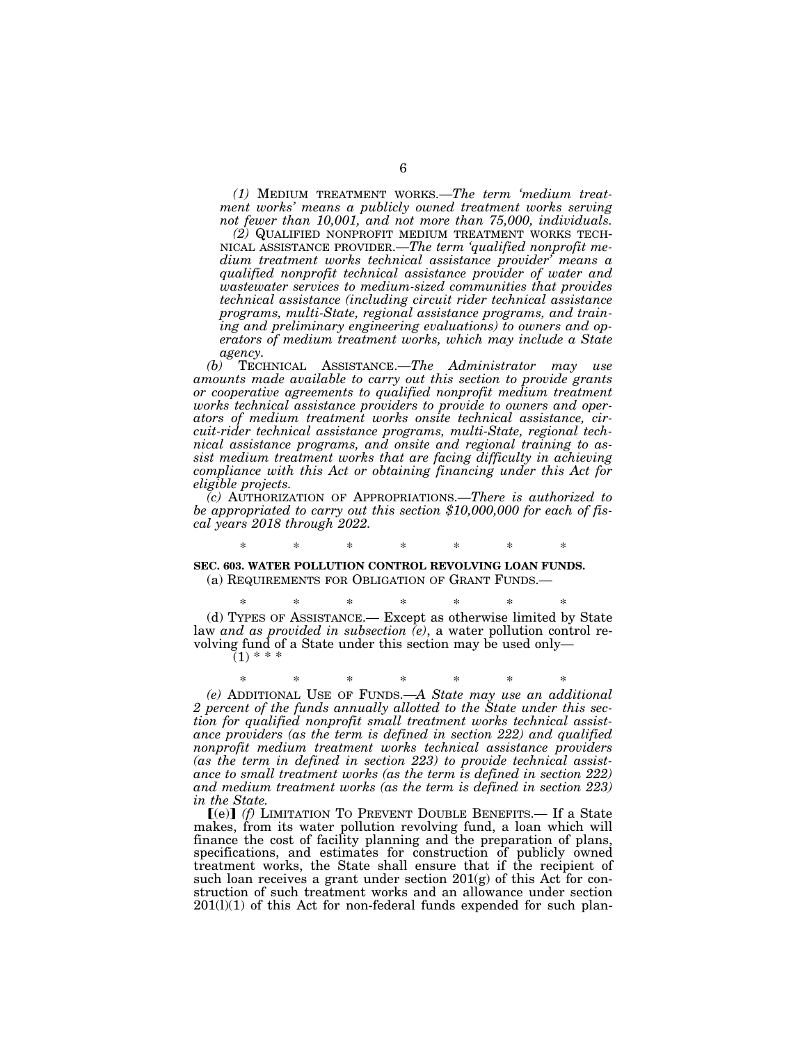*(1)* MEDIUM TREATMENT WORKS.—*The term 'medium treatment works' means a publicly owned treatment works serving not fewer than 10,001, and not more than 75,000, individuals.* 

MICAL ASSISTANCE PROVIDER.—*The term 'qualified nonprofit medium treatment works technical assistance provider' means a qualified nonprofit technical assistance provider of water and wastewater services to medium-sized communities that provides technical assistance (including circuit rider technical assistance programs, multi-State, regional assistance programs, and training and preliminary engineering evaluations) to owners and operators of medium treatment works, which may include a State* 

*agency.*<br>(b) TECH *(b)* TECHNICAL ASSISTANCE.—*The Administrator may use amounts made available to carry out this section to provide grants or cooperative agreements to qualified nonprofit medium treatment works technical assistance providers to provide to owners and operators of medium treatment works onsite technical assistance, circuit-rider technical assistance programs, multi-State, regional technical assistance programs, and onsite and regional training to assist medium treatment works that are facing difficulty in achieving compliance with this Act or obtaining financing under this Act for eligible projects.* 

*(c)* AUTHORIZATION OF APPROPRIATIONS.—*There is authorized to be appropriated to carry out this section \$10,000,000 for each of fiscal years 2018 through 2022.* 

# \* \* \* \* \* \* \* **SEC. 603. WATER POLLUTION CONTROL REVOLVING LOAN FUNDS.** (a) REQUIREMENTS FOR OBLIGATION OF GRANT FUNDS.—

\* \* \* \* \* \* \* (d) TYPES OF ASSISTANCE.— Except as otherwise limited by State law *and as provided in subsection (e)*, a water pollution control revolving fund of a State under this section may be used only—  $(1)$  \* \* \*

\* \* \* \* \* \* \* *(e)* ADDITIONAL USE OF FUNDS.—*A State may use an additional 2 percent of the funds annually allotted to the State under this section for qualified nonprofit small treatment works technical assistance providers (as the term is defined in section 222) and qualified nonprofit medium treatment works technical assistance providers (as the term in defined in section 223) to provide technical assistance to small treatment works (as the term is defined in section 222) and medium treatment works (as the term is defined in section 223) in the State.* 

[(e)] (f) LIMITATION TO PREVENT DOUBLE BENEFITS.— If a State makes, from its water pollution revolving fund, a loan which will finance the cost of facility planning and the preparation of plans, specifications, and estimates for construction of publicly owned treatment works, the State shall ensure that if the recipient of such loan receives a grant under section  $201(g)$  of this Act for construction of such treatment works and an allowance under section  $201(1)(1)$  of this Act for non-federal funds expended for such plan